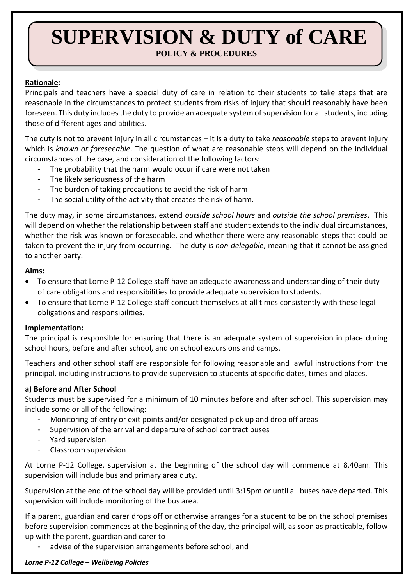# **SUPERVISION & DUTY of CARE POLICY & PROCEDURES**

## **Rationale:**

Principals and teachers have a special duty of care in relation to their students to take steps that are reasonable in the circumstances to protect students from risks of injury that should reasonably have been foreseen. This duty includes the duty to provide an adequate system of supervision for all students, including those of different ages and abilities.

The duty is not to prevent injury in all circumstances – it is a duty to take *reasonable* steps to prevent injury which is *known or foreseeable*. The question of what are reasonable steps will depend on the individual circumstances of the case, and consideration of the following factors:

- The probability that the harm would occur if care were not taken
- The likely seriousness of the harm
- The burden of taking precautions to avoid the risk of harm
- The social utility of the activity that creates the risk of harm.

The duty may, in some circumstances, extend *outside school hours* and *outside the school premises*. This will depend on whether the relationship between staff and student extends to the individual circumstances, whether the risk was known or foreseeable, and whether there were any reasonable steps that could be taken to prevent the injury from occurring. The duty is *non-delegable*, meaning that it cannot be assigned to another party.

## **Aims:**

- To ensure that Lorne P-12 College staff have an adequate awareness and understanding of their duty of care obligations and responsibilities to provide adequate supervision to students.
- To ensure that Lorne P-12 College staff conduct themselves at all times consistently with these legal obligations and responsibilities.

## **Implementation:**

The principal is responsible for ensuring that there is an adequate system of supervision in place during school hours, before and after school, and on school excursions and camps.

Teachers and other school staff are responsible for following reasonable and lawful instructions from the principal, including instructions to provide supervision to students at specific dates, times and places.

## **a) Before and After School**

Students must be supervised for a minimum of 10 minutes before and after school. This supervision may include some or all of the following:

- Monitoring of entry or exit points and/or designated pick up and drop off areas
- Supervision of the arrival and departure of school contract buses
- Yard supervision
- Classroom supervision

At Lorne P-12 College, supervision at the beginning of the school day will commence at 8.40am. This supervision will include bus and primary area duty.

Supervision at the end of the school day will be provided until 3:15pm or until all buses have departed. This supervision will include monitoring of the bus area.

If a parent, guardian and carer drops off or otherwise arranges for a student to be on the school premises before supervision commences at the beginning of the day, the principal will, as soon as practicable, follow up with the parent, guardian and carer to

advise of the supervision arrangements before school, and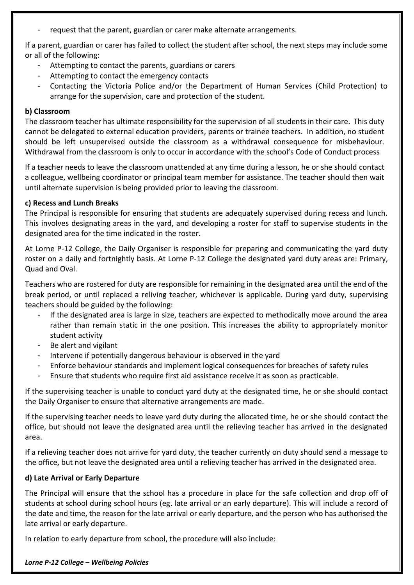request that the parent, guardian or carer make alternate arrangements.

If a parent, guardian or carer has failed to collect the student after school, the next steps may include some or all of the following:

- Attempting to contact the parents, guardians or carers
- Attempting to contact the emergency contacts
- Contacting the Victoria Police and/or the Department of Human Services (Child Protection) to arrange for the supervision, care and protection of the student.

#### **b) Classroom**

The classroom teacher has ultimate responsibility for the supervision of all students in their care. This duty cannot be delegated to external education providers, parents or trainee teachers. In addition, no student should be left unsupervised outside the classroom as a withdrawal consequence for misbehaviour. Withdrawal from the classroom is only to occur in accordance with the school's Code of Conduct process

If a teacher needs to leave the classroom unattended at any time during a lesson, he or she should contact a colleague, wellbeing coordinator or principal team member for assistance. The teacher should then wait until alternate supervision is being provided prior to leaving the classroom.

#### **c) Recess and Lunch Breaks**

The Principal is responsible for ensuring that students are adequately supervised during recess and lunch. This involves designating areas in the yard, and developing a roster for staff to supervise students in the designated area for the time indicated in the roster.

At Lorne P-12 College, the Daily Organiser is responsible for preparing and communicating the yard duty roster on a daily and fortnightly basis. At Lorne P-12 College the designated yard duty areas are: Primary, Quad and Oval.

Teachers who are rostered for duty are responsible for remaining in the designated area until the end of the break period, or until replaced a reliving teacher, whichever is applicable. During yard duty, supervising teachers should be guided by the following:

- If the designated area is large in size, teachers are expected to methodically move around the area rather than remain static in the one position. This increases the ability to appropriately monitor student activity
- Be alert and vigilant
- Intervene if potentially dangerous behaviour is observed in the yard
- Enforce behaviour standards and implement logical consequences for breaches of safety rules
- Ensure that students who require first aid assistance receive it as soon as practicable.

If the supervising teacher is unable to conduct yard duty at the designated time, he or she should contact the Daily Organiser to ensure that alternative arrangements are made.

If the supervising teacher needs to leave yard duty during the allocated time, he or she should contact the office, but should not leave the designated area until the relieving teacher has arrived in the designated area.

If a relieving teacher does not arrive for yard duty, the teacher currently on duty should send a message to the office, but not leave the designated area until a relieving teacher has arrived in the designated area.

## **d) Late Arrival or Early Departure**

The Principal will ensure that the school has a procedure in place for the safe collection and drop off of students at school during school hours (eg. late arrival or an early departure). This will include a record of the date and time, the reason for the late arrival or early departure, and the person who has authorised the late arrival or early departure.

In relation to early departure from school, the procedure will also include: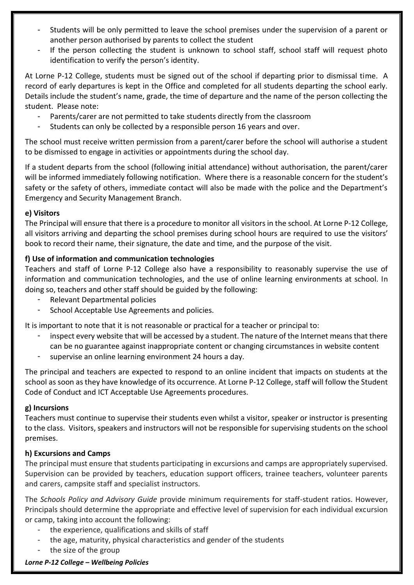- Students will be only permitted to leave the school premises under the supervision of a parent or another person authorised by parents to collect the student
- If the person collecting the student is unknown to school staff, school staff will request photo identification to verify the person's identity.

At Lorne P-12 College, students must be signed out of the school if departing prior to dismissal time. A record of early departures is kept in the Office and completed for all students departing the school early. Details include the student's name, grade, the time of departure and the name of the person collecting the student. Please note:

- Parents/carer are not permitted to take students directly from the classroom
- Students can only be collected by a responsible person 16 years and over.

The school must receive written permission from a parent/carer before the school will authorise a student to be dismissed to engage in activities or appointments during the school day.

If a student departs from the school (following initial attendance) without authorisation, the parent/carer will be informed immediately following notification. Where there is a reasonable concern for the student's safety or the safety of others, immediate contact will also be made with the police and the Department's Emergency and Security Management Branch.

## **e) Visitors**

The Principal will ensure that there is a procedure to monitor all visitors in the school. At Lorne P-12 College, all visitors arriving and departing the school premises during school hours are required to use the visitors' book to record their name, their signature, the date and time, and the purpose of the visit.

# **f) Use of information and communication technologies**

Teachers and staff of Lorne P-12 College also have a responsibility to reasonably supervise the use of information and communication technologies, and the use of online learning environments at school. In doing so, teachers and other staff should be guided by the following:

- Relevant Departmental policies
- School Acceptable Use Agreements and policies.

It is important to note that it is not reasonable or practical for a teacher or principal to:

- inspect every website that will be accessed by a student. The nature of the Internet means that there can be no guarantee against inappropriate content or changing circumstances in website content
- supervise an online learning environment 24 hours a day.

The principal and teachers are expected to respond to an online incident that impacts on students at the school as soon as they have knowledge of its occurrence. At Lorne P-12 College, staff will follow the Student Code of Conduct and ICT Acceptable Use Agreements procedures.

## **g) Incursions**

Teachers must continue to supervise their students even whilst a visitor, speaker or instructor is presenting to the class. Visitors, speakers and instructors will not be responsible for supervising students on the school premises.

## **h) Excursions and Camps**

The principal must ensure that students participating in excursions and camps are appropriately supervised. Supervision can be provided by teachers, education support officers, trainee teachers, volunteer parents and carers, campsite staff and specialist instructors.

The *Schools Policy and Advisory Guide* provide minimum requirements for staff-student ratios. However, Principals should determine the appropriate and effective level of supervision for each individual excursion or camp, taking into account the following:

- the experience, qualifications and skills of staff
- the age, maturity, physical characteristics and gender of the students
- the size of the group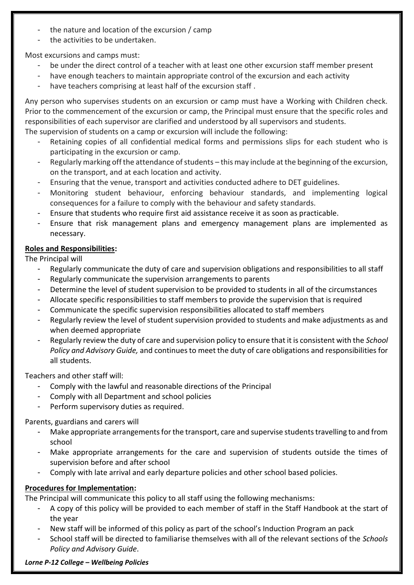- the nature and location of the excursion / camp
- the activities to be undertaken.

Most excursions and camps must:

- be under the direct control of a teacher with at least one other excursion staff member present
- have enough teachers to maintain appropriate control of the excursion and each activity
- have teachers comprising at least half of the excursion staff.

Any person who supervises students on an excursion or camp must have a Working with Children check. Prior to the commencement of the excursion or camp, the Principal must ensure that the specific roles and responsibilities of each supervisor are clarified and understood by all supervisors and students. The supervision of students on a camp or excursion will include the following:

- Retaining copies of all confidential medical forms and permissions slips for each student who is participating in the excursion or camp.
- Regularly marking off the attendance of students this may include at the beginning of the excursion, on the transport, and at each location and activity.
- Ensuring that the venue, transport and activities conducted adhere to DET guidelines.
- Monitoring student behaviour, enforcing behaviour standards, and implementing logical consequences for a failure to comply with the behaviour and safety standards.
- Ensure that students who require first aid assistance receive it as soon as practicable.
- Ensure that risk management plans and emergency management plans are implemented as necessary.

# **Roles and Responsibilities:**

The Principal will

- Regularly communicate the duty of care and supervision obligations and responsibilities to all staff
- Regularly communicate the supervision arrangements to parents
- Determine the level of student supervision to be provided to students in all of the circumstances
- Allocate specific responsibilities to staff members to provide the supervision that is required
- Communicate the specific supervision responsibilities allocated to staff members
- Regularly review the level of student supervision provided to students and make adjustments as and when deemed appropriate
- Regularly review the duty of care and supervision policy to ensure that it is consistent with the *School Policy and Advisory Guide,* and continues to meet the duty of care obligations and responsibilities for all students.

Teachers and other staff will:

- Comply with the lawful and reasonable directions of the Principal
- Comply with all Department and school policies
- Perform supervisory duties as required.

Parents, guardians and carers will

- Make appropriate arrangements for the transport, care and supervise students travelling to and from school
- Make appropriate arrangements for the care and supervision of students outside the times of supervision before and after school
- Comply with late arrival and early departure policies and other school based policies.

# **Procedures for Implementation:**

The Principal will communicate this policy to all staff using the following mechanisms:

- A copy of this policy will be provided to each member of staff in the Staff Handbook at the start of the year
- New staff will be informed of this policy as part of the school's Induction Program an pack
- School staff will be directed to familiarise themselves with all of the relevant sections of the *Schools Policy and Advisory Guide*.